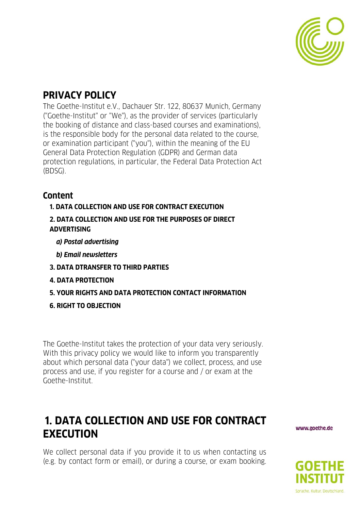

### **PRIVACY POLICY**

The Goethe-Institut e.V., Dachauer Str. 122, 80637 Munich, Germany ("Goethe-Institut" or "We"), as the provider of services (particularly the booking of distance and class-based courses and examinations), is the responsible body for the personal data related to the course, or examination participant ("you"), within the meaning of the EU General Data Protection Regulation (GDPR) and German data protection regulations, in particular, the Federal Data Protection Act (BDSG).

### **Content**

### **1. DATA COLLECTION AND USE FOR CONTRACT EXECUTION**

- **2. DATA COLLECTION AND USE FOR THE PURPOSES OF DIRECT ADVERTISING** 
	- *a) Postal advertising*
	- *b) Email newsletters*
- **3. DATA DTRANSFER TO THIRD PARTIES**
- **4. DATA PROTECTION**
- **5. YOUR RIGHTS AND DATA PROTECTION CONTACT INFORMATION**
- **6. RIGHT TO OBJECTION**

The Goethe-Institut takes the protection of your data very seriously. With this privacy policy we would like to inform you transparently about which personal data ("your data") we collect, process, and use process and use, if you register for a course and / or exam at the Goethe-Institut.

## **1. DATA COLLECTION AND USE FOR CONTRACT EXECUTION**

We collect personal data if you provide it to us when contacting us (e.g. by contact form or email), or during a course, or exam booking.

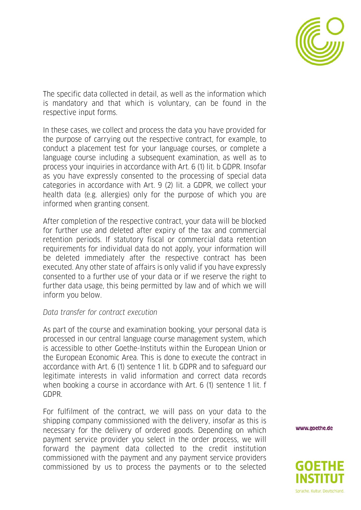

The specific data collected in detail, as well as the information which is mandatory and that which is voluntary, can be found in the respective input forms.

In these cases, we collect and process the data you have provided for the purpose of carrying out the respective contract, for example, to conduct a placement test for your language courses, or complete a language course including a subsequent examination, as well as to process your inquiries in accordance with Art. 6 (1) lit. b GDPR. Insofar as you have expressly consented to the processing of special data categories in accordance with Art. 9 (2) lit. a GDPR, we collect your health data (e.g. allergies) only for the purpose of which you are informed when granting consent.

After completion of the respective contract, your data will be blocked for further use and deleted after expiry of the tax and commercial retention periods. If statutory fiscal or commercial data retention requirements for individual data do not apply, your information will be deleted immediately after the respective contract has been executed. Any other state of affairs is only valid if you have expressly consented to a further use of your data or if we reserve the right to further data usage, this being permitted by law and of which we will inform you below.

#### *Data transfer for contract execution*

As part of the course and examination booking, your personal data is processed in our central language course management system, which is accessible to other Goethe-Instituts within the European Union or the European Economic Area. This is done to execute the contract in accordance with Art. 6 (1) sentence 1 lit. b GDPR and to safeguard our legitimate interests in valid information and correct data records when booking a course in accordance with Art. 6 (1) sentence 1 lit. f GDPR.

For fulfilment of the contract, we will pass on your data to the shipping company commissioned with the delivery, insofar as this is necessary for the delivery of ordered goods. Depending on which payment service provider you select in the order process, we will forward the payment data collected to the credit institution commissioned with the payment and any payment service providers commissioned by us to process the payments or to the selected

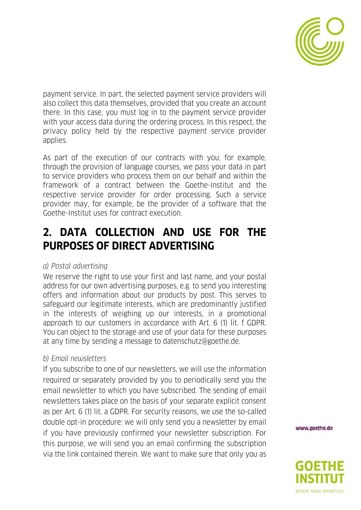

payment service. In part, the selected payment service providers will also collect this data themselves, provided that you create an account there. In this case, you must log in to the payment service provider with your access data during the ordering process. In this respect, the privacy policy held by the respective payment service provider applies.

As part of the execution of our contracts with you, for example, through the provision of language courses, we pass your data in part to service providers who process them on our behalf and within the framework of a contract between the Goethe-Institut and the respective service provider for order processing. Such a service provider may, for example, be the provider of a software that the Goethe-Institut uses for contract execution.

## **2. DATA COLLECTION AND USE FOR THE PURPOSES OF DIRECT ADVERTISING**

### *a) Postal advertising*

We reserve the right to use your first and last name, and your postal address for our own advertising purposes, e.g. to send you interesting offers and information about our products by post. This serves to safeguard our legitimate interests, which are predominantly justified in the interests of weighing up our interests, in a promotional approach to our customers in accordance with Art. 6 (1) lit. f GDPR. You can object to the storage and use of your data for these purposes at any time by sending a message to datenschutz@goethe.de.

### *b) Email newsletters*

If you subscribe to one of our newsletters, we will use the information required or separately provided by you to periodically send you the email newsletter to which you have subscribed. The sending of email newsletters takes place on the basis of your separate explicit consent as per Art. 6 (1) lit. a GDPR. For security reasons, we use the so-called double opt-in procedure: we will only send you a newsletter by email if you have previously confirmed your newsletter subscription. For this purpose, we will send you an email confirming the subscription via the link contained therein. We want to make sure that only you as

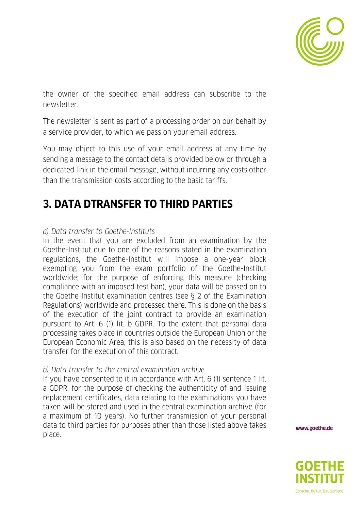

the owner of the specified email address can subscribe to the newsletter.

The newsletter is sent as part of a processing order on our behalf by a service provider, to which we pass on your email address.

You may object to this use of your email address at any time by sending a message to the contact details provided below or through a dedicated link in the email message, without incurring any costs other than the transmission costs according to the basic tariffs.

## **3. DATA DTRANSFER TO THIRD PARTIES**

### *a) Data transfer to Goethe-Instituts*

In the event that you are excluded from an examination by the Goethe-Institut due to one of the reasons stated in the examination regulations, the Goethe-Institut will impose a one-year block exempting you from the exam portfolio of the Goethe-Institut worldwide; for the purpose of enforcing this measure (checking compliance with an imposed test ban), your data will be passed on to the Goethe-Institut examination centres (see § 2 of the Examination Regulations) worldwide and processed there. This is done on the basis of the execution of the joint contract to provide an examination pursuant to Art. 6 (1) lit. b GDPR. To the extent that personal data processing takes place in countries outside the European Union or the European Economic Area, this is also based on the necessity of data transfer for the execution of this contract.

### *b) Data transfer to the central examination archive*

If you have consented to it in accordance with Art. 6 (1) sentence 1 lit. a GDPR, for the purpose of checking the authenticity of and issuing replacement certificates, data relating to the examinations you have taken will be stored and used in the central examination archive (for a maximum of 10 years). No further transmission of your personal data to third parties for purposes other than those listed above takes place.

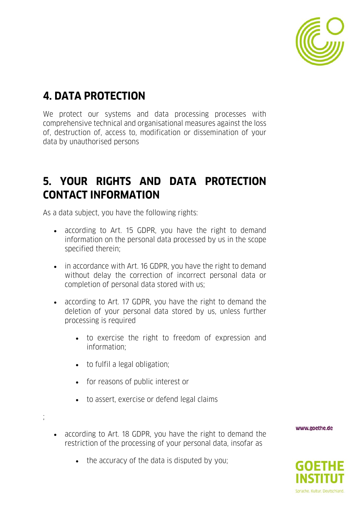

## **4. DATA PROTECTION**

We protect our systems and data processing processes with comprehensive technical and organisational measures against the loss of, destruction of, access to, modification or dissemination of your data by unauthorised persons

## **5. YOUR RIGHTS AND DATA PROTECTION CONTACT INFORMATION**

As a data subject, you have the following rights:

- according to Art. 15 GDPR, you have the right to demand information on the personal data processed by us in the scope specified therein;
- in accordance with Art. 16 GDPR, you have the right to demand without delay the correction of incorrect personal data or completion of personal data stored with us;
- according to Art. 17 GDPR, you have the right to demand the deletion of your personal data stored by us, unless further processing is required
	- to exercise the right to freedom of expression and information;
	- to fulfil a legal obligation;

;

- for reasons of public interest or
- to assert, exercise or defend legal claims
- according to Art. 18 GDPR, you have the right to demand the restriction of the processing of your personal data, insofar as
- 

www.goethe.de

• the accuracy of the data is disputed by you:

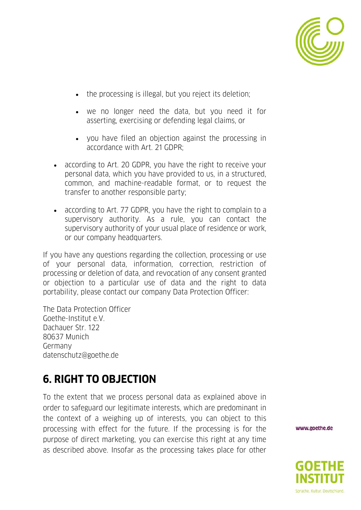

- the processing is illegal, but you reject its deletion;
- we no longer need the data, but you need it for asserting, exercising or defending legal claims, or
- you have filed an objection against the processing in accordance with Art. 21 GDPR;
- according to Art. 20 GDPR, you have the right to receive your personal data, which you have provided to us, in a structured, common, and machine-readable format, or to request the transfer to another responsible party;
- according to Art. 77 GDPR, you have the right to complain to a supervisory authority. As a rule, you can contact the supervisory authority of your usual place of residence or work, or our company headquarters.

If you have any questions regarding the collection, processing or use of your personal data, information, correction, restriction of processing or deletion of data, and revocation of any consent granted or objection to a particular use of data and the right to data portability, please contact our company Data Protection Officer:

The Data Protection Officer Goethe-Institut e.V. Dachauer Str. 122 80637 Munich Germany datenschutz@goethe.de

# **6. RIGHT TO OBJECTION**

To the extent that we process personal data as explained above in order to safeguard our legitimate interests, which are predominant in the context of a weighing up of interests, you can object to this processing with effect for the future. If the processing is for the purpose of direct marketing, you can exercise this right at any time as described above. Insofar as the processing takes place for other